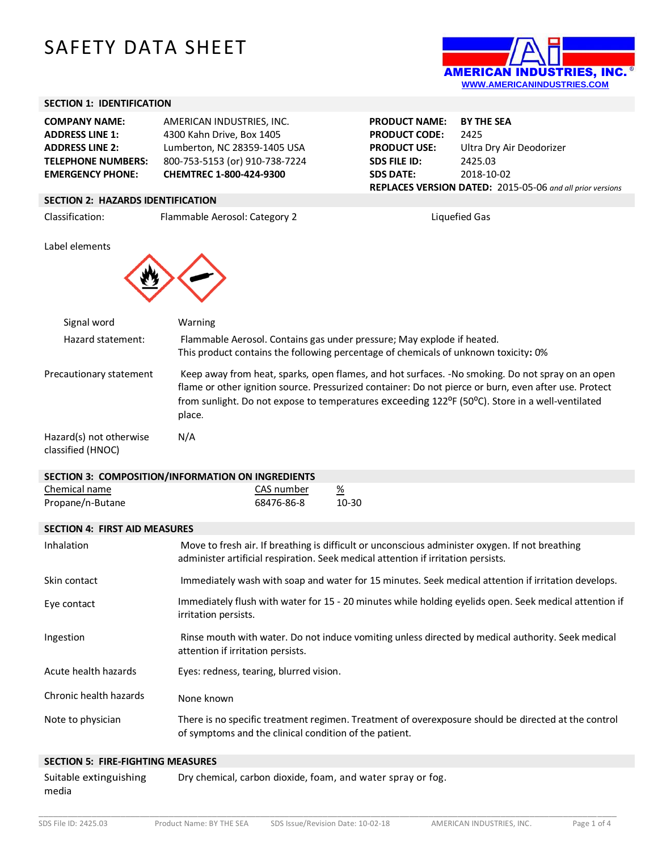# SAFETY DATA SHEET



### **SECTION 1: IDENTIFICATION**

| <b>COMPANY NAME:</b>      | AMERICAN INDUSTRIES, INC.      |
|---------------------------|--------------------------------|
| <b>ADDRESS LINE 1:</b>    | 4300 Kahn Drive, Box 1405      |
| <b>ADDRESS LINE 2:</b>    | Lumberton, NC 28359-1405 USA   |
| <b>TELEPHONE NUMBERS:</b> | 800-753-5153 (or) 910-738-7224 |
| <b>EMERGENCY PHONE:</b>   | CHEMTREC 1-800-424-9300        |

**PRODUCT NAME: BY THE SEA PRODUCT CODE:** 2425 **PRODUCT USE:** Ultra Dry Air Deodorizer **SDS FILE ID:** 2425.03 **SDS DATE:** 2018-10-02 **REPLACES VERSION DATED:** 2015-05-06 *and all prior versions*

## **SECTION 2: HAZARDS IDENTIFICATION**

Classification: Flammable Aerosol: Category 2 Liquefied Gas

Label elements



| Signal word                                  | <b>Warning</b>                                                                                                                                                                                                                                                                                                                                   |
|----------------------------------------------|--------------------------------------------------------------------------------------------------------------------------------------------------------------------------------------------------------------------------------------------------------------------------------------------------------------------------------------------------|
| Hazard statement:                            | Flammable Aerosol. Contains gas under pressure; May explode if heated.<br>This product contains the following percentage of chemicals of unknown toxicity: 0%                                                                                                                                                                                    |
| Precautionary statement                      | Keep away from heat, sparks, open flames, and hot surfaces. -No smoking. Do not spray on an open<br>flame or other ignition source. Pressurized container: Do not pierce or burn, even after use. Protect<br>from sunlight. Do not expose to temperatures exceeding 122 <sup>o</sup> F (50 <sup>o</sup> C). Store in a well-ventilated<br>place. |
| Hazard(s) not otherwise<br>classified (HNOC) | N/A                                                                                                                                                                                                                                                                                                                                              |

| SECTION 3: COMPOSITION/INFORMATION ON INGREDIENTS |       |  |  |  |
|---------------------------------------------------|-------|--|--|--|
| CAS number                                        | %     |  |  |  |
| 68476-86-8                                        | 10-30 |  |  |  |
| <b>SECTION 4: FIRST AID MEASURES</b>              |       |  |  |  |
|                                                   |       |  |  |  |

| Inhalation             | Move to fresh air. If breathing is difficult or unconscious administer oxygen. If not breathing<br>administer artificial respiration. Seek medical attention if irritation persists. |
|------------------------|--------------------------------------------------------------------------------------------------------------------------------------------------------------------------------------|
| Skin contact           | Immediately wash with soap and water for 15 minutes. Seek medical attention if irritation develops.                                                                                  |
| Eye contact            | Immediately flush with water for 15 - 20 minutes while holding eyelids open. Seek medical attention if<br>irritation persists.                                                       |
| Ingestion              | Rinse mouth with water. Do not induce vomiting unless directed by medical authority. Seek medical<br>attention if irritation persists.                                               |
| Acute health hazards   | Eyes: redness, tearing, blurred vision.                                                                                                                                              |
| Chronic health hazards | None known                                                                                                                                                                           |
| Note to physician      | There is no specific treatment regimen. Treatment of overexposure should be directed at the control<br>of symptoms and the clinical condition of the patient.                        |
|                        |                                                                                                                                                                                      |

#### **SECTION 5: FIRE-FIGHTING MEASURES**

Suitable extinguishing media Dry chemical, carbon dioxide, foam, and water spray or fog.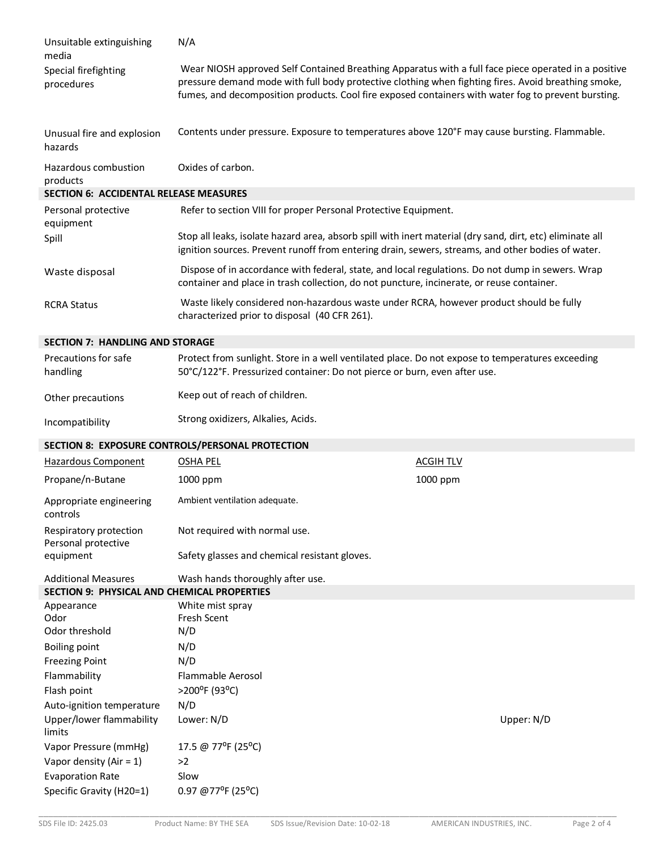| Unsuitable extinguishing<br>media                                                                   | N/A                                                                                                                                                                                                                                                                                                                |                  |  |
|-----------------------------------------------------------------------------------------------------|--------------------------------------------------------------------------------------------------------------------------------------------------------------------------------------------------------------------------------------------------------------------------------------------------------------------|------------------|--|
| Special firefighting<br>procedures                                                                  | Wear NIOSH approved Self Contained Breathing Apparatus with a full face piece operated in a positive<br>pressure demand mode with full body protective clothing when fighting fires. Avoid breathing smoke,<br>fumes, and decomposition products. Cool fire exposed containers with water fog to prevent bursting. |                  |  |
| Unusual fire and explosion<br>hazards                                                               | Contents under pressure. Exposure to temperatures above 120°F may cause bursting. Flammable.                                                                                                                                                                                                                       |                  |  |
| Hazardous combustion                                                                                | Oxides of carbon.                                                                                                                                                                                                                                                                                                  |                  |  |
| products                                                                                            |                                                                                                                                                                                                                                                                                                                    |                  |  |
| <b>SECTION 6: ACCIDENTAL RELEASE MEASURES</b>                                                       |                                                                                                                                                                                                                                                                                                                    |                  |  |
| Refer to section VIII for proper Personal Protective Equipment.<br>Personal protective<br>equipment |                                                                                                                                                                                                                                                                                                                    |                  |  |
| Spill                                                                                               | Stop all leaks, isolate hazard area, absorb spill with inert material (dry sand, dirt, etc) eliminate all<br>ignition sources. Prevent runoff from entering drain, sewers, streams, and other bodies of water.                                                                                                     |                  |  |
| Waste disposal                                                                                      | Dispose of in accordance with federal, state, and local regulations. Do not dump in sewers. Wrap<br>container and place in trash collection, do not puncture, incinerate, or reuse container.                                                                                                                      |                  |  |
| <b>RCRA Status</b>                                                                                  | Waste likely considered non-hazardous waste under RCRA, however product should be fully<br>characterized prior to disposal (40 CFR 261).                                                                                                                                                                           |                  |  |
| <b>SECTION 7: HANDLING AND STORAGE</b>                                                              |                                                                                                                                                                                                                                                                                                                    |                  |  |
| Precautions for safe<br>handling                                                                    | Protect from sunlight. Store in a well ventilated place. Do not expose to temperatures exceeding<br>50°C/122°F. Pressurized container: Do not pierce or burn, even after use.                                                                                                                                      |                  |  |
| Other precautions                                                                                   | Keep out of reach of children.                                                                                                                                                                                                                                                                                     |                  |  |
| Incompatibility                                                                                     | Strong oxidizers, Alkalies, Acids.                                                                                                                                                                                                                                                                                 |                  |  |
|                                                                                                     | SECTION 8: EXPOSURE CONTROLS/PERSONAL PROTECTION                                                                                                                                                                                                                                                                   |                  |  |
| <b>Hazardous Component</b>                                                                          | <b>OSHA PEL</b>                                                                                                                                                                                                                                                                                                    | <b>ACGIH TLV</b> |  |
| Propane/n-Butane                                                                                    | 1000 ppm                                                                                                                                                                                                                                                                                                           | 1000 ppm         |  |
| Appropriate engineering<br>controls                                                                 | Ambient ventilation adequate.                                                                                                                                                                                                                                                                                      |                  |  |
| Respiratory protection<br>Personal protective                                                       | Not required with normal use.                                                                                                                                                                                                                                                                                      |                  |  |
| equipment                                                                                           | Safety glasses and chemical resistant gloves.                                                                                                                                                                                                                                                                      |                  |  |
| <b>Additional Measures</b>                                                                          | Wash hands thoroughly after use.                                                                                                                                                                                                                                                                                   |                  |  |
| SECTION 9: PHYSICAL AND CHEMICAL PROPERTIES                                                         |                                                                                                                                                                                                                                                                                                                    |                  |  |
| Appearance                                                                                          | White mist spray                                                                                                                                                                                                                                                                                                   |                  |  |
| Odor                                                                                                | Fresh Scent                                                                                                                                                                                                                                                                                                        |                  |  |
| Odor threshold                                                                                      | N/D                                                                                                                                                                                                                                                                                                                |                  |  |
| <b>Boiling point</b>                                                                                | N/D                                                                                                                                                                                                                                                                                                                |                  |  |
| <b>Freezing Point</b>                                                                               | N/D                                                                                                                                                                                                                                                                                                                |                  |  |
| Flammability                                                                                        | Flammable Aerosol                                                                                                                                                                                                                                                                                                  |                  |  |
| Flash point                                                                                         | >200°F (93°C)                                                                                                                                                                                                                                                                                                      |                  |  |
| Auto-ignition temperature                                                                           | N/D                                                                                                                                                                                                                                                                                                                |                  |  |
| Upper/lower flammability<br>limits                                                                  | Lower: N/D                                                                                                                                                                                                                                                                                                         | Upper: N/D       |  |
| Vapor Pressure (mmHg)                                                                               | 17.5 @ 77°F (25°C)                                                                                                                                                                                                                                                                                                 |                  |  |
| Vapor density (Air = $1$ )                                                                          | >2                                                                                                                                                                                                                                                                                                                 |                  |  |
| <b>Evaporation Rate</b>                                                                             | Slow                                                                                                                                                                                                                                                                                                               |                  |  |
| Specific Gravity (H20=1)                                                                            | 0.97 @ 77°F (25°C)                                                                                                                                                                                                                                                                                                 |                  |  |

\_\_\_\_\_\_\_\_\_\_\_\_\_\_\_\_\_\_\_\_\_\_\_\_\_\_\_\_\_\_\_\_\_\_\_\_\_\_\_\_\_\_\_\_\_\_\_\_\_\_\_\_\_\_\_\_\_\_\_\_\_\_\_\_\_\_\_\_\_\_\_\_\_\_\_\_\_\_\_\_\_\_\_\_\_\_\_\_\_\_\_\_\_\_\_\_\_\_\_\_\_\_\_\_\_\_\_\_\_\_\_\_\_\_\_\_\_\_\_\_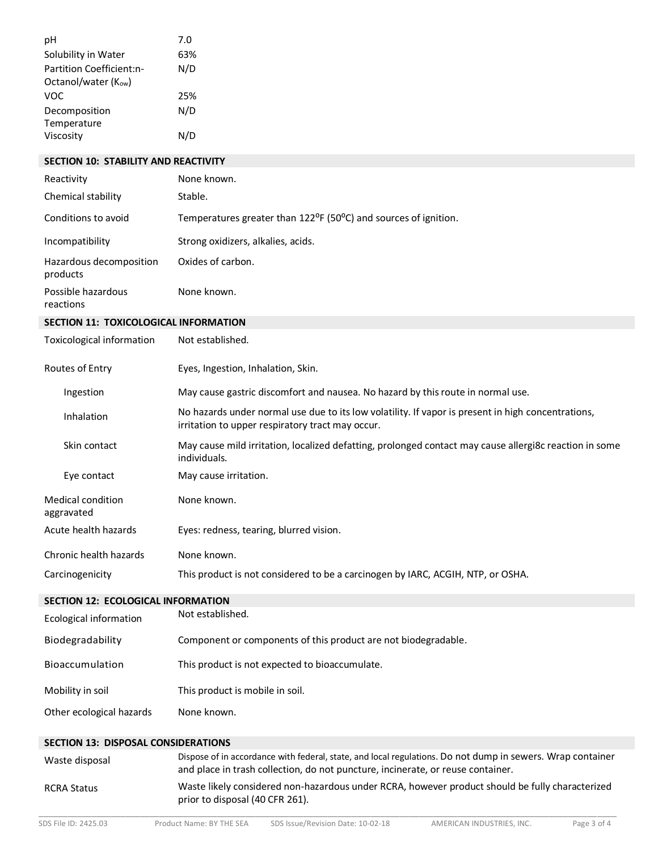| pH                                              | 7.0                                                                                                                                                                                           |  |
|-------------------------------------------------|-----------------------------------------------------------------------------------------------------------------------------------------------------------------------------------------------|--|
| Solubility in Water                             | 63%                                                                                                                                                                                           |  |
| Partition Coefficient:n-<br>Octanol/water (Kow) | N/D                                                                                                                                                                                           |  |
| <b>VOC</b>                                      | 25%                                                                                                                                                                                           |  |
| Decomposition<br>Temperature                    | N/D                                                                                                                                                                                           |  |
| Viscosity                                       | N/D                                                                                                                                                                                           |  |
| SECTION 10: STABILITY AND REACTIVITY            |                                                                                                                                                                                               |  |
| Reactivity                                      | None known.                                                                                                                                                                                   |  |
|                                                 |                                                                                                                                                                                               |  |
| Chemical stability                              | Stable.                                                                                                                                                                                       |  |
| Conditions to avoid                             | Temperatures greater than 122 <sup>o</sup> F (50 <sup>o</sup> C) and sources of ignition.                                                                                                     |  |
| Incompatibility                                 | Strong oxidizers, alkalies, acids.                                                                                                                                                            |  |
| Hazardous decomposition<br>products             | Oxides of carbon.                                                                                                                                                                             |  |
| Possible hazardous<br>reactions                 | None known.                                                                                                                                                                                   |  |
| SECTION 11: TOXICOLOGICAL INFORMATION           |                                                                                                                                                                                               |  |
| <b>Toxicological information</b>                | Not established.                                                                                                                                                                              |  |
| Routes of Entry                                 | Eyes, Ingestion, Inhalation, Skin.                                                                                                                                                            |  |
| Ingestion                                       | May cause gastric discomfort and nausea. No hazard by this route in normal use.                                                                                                               |  |
| Inhalation                                      | No hazards under normal use due to its low volatility. If vapor is present in high concentrations,<br>irritation to upper respiratory tract may occur.                                        |  |
| Skin contact                                    | May cause mild irritation, localized defatting, prolonged contact may cause allergi8c reaction in some<br>individuals.                                                                        |  |
| Eye contact                                     | May cause irritation.                                                                                                                                                                         |  |
| Medical condition<br>aggravated                 | None known.                                                                                                                                                                                   |  |
| Acute health hazards                            | Eyes: redness, tearing, blurred vision.                                                                                                                                                       |  |
| Chronic health hazards                          | None known.                                                                                                                                                                                   |  |
| Carcinogenicity                                 | This product is not considered to be a carcinogen by IARC, ACGIH, NTP, or OSHA.                                                                                                               |  |
| <b>SECTION 12: ECOLOGICAL INFORMATION</b>       |                                                                                                                                                                                               |  |
| <b>Ecological information</b>                   | Not established.                                                                                                                                                                              |  |
| Biodegradability                                | Component or components of this product are not biodegradable.                                                                                                                                |  |
| Bioaccumulation                                 | This product is not expected to bioaccumulate.                                                                                                                                                |  |
| Mobility in soil                                | This product is mobile in soil.                                                                                                                                                               |  |
| Other ecological hazards                        | None known.                                                                                                                                                                                   |  |
| <b>SECTION 13: DISPOSAL CONSIDERATIONS</b>      |                                                                                                                                                                                               |  |
| Waste disposal                                  | Dispose of in accordance with federal, state, and local regulations. Do not dump in sewers. Wrap container<br>and place in trash collection, do not puncture, incinerate, or reuse container. |  |
| <b>RCRA Status</b>                              | Waste likely considered non-hazardous under RCRA, however product should be fully characterized<br>prior to disposal (40 CFR 261).                                                            |  |